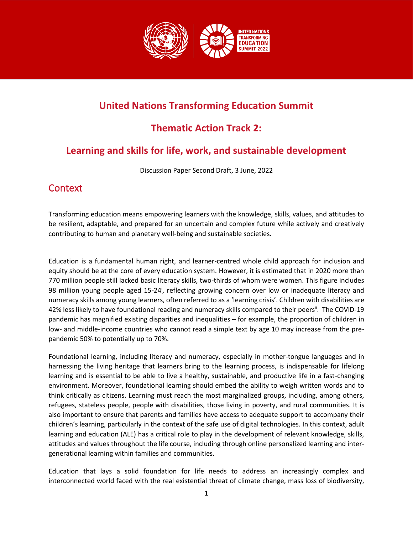

# **United Nations Transforming Education Summit**

# **Thematic Action Track 2:**

# **Learning and skills for life, work, and sustainable development**

Discussion Paper Second Draft, 3 June, 2022

### **Context**

Transforming education means empowering learners with the knowledge, skills, values, and attitudes to be resilient, adaptable, and prepared for an uncertain and complex future while actively and creatively contributing to human and planetary well-being and sustainable societies.

Education is a fundamental human right, and learner-centred whole child approach for inclusion and equity should be at the core of every education system. However, it is estimated that in 2020 more than 770 million people still lacked basic literacy skills, two-thirds of whom were women. This figure includes 98 million young people aged 15-24<sup>i</sup>, reflecting growing concern over low or inadequate literacy and numeracy skills among young learners, often referred to as a 'learning crisis'. Children with disabilities are 42% less likely to have foundational reading and numeracy skills compared to their peers<sup>ii</sup>. The COVID-19 pandemic has magnified existing disparities and inequalities – for example, the proportion of children in low- and middle-income countries who cannot read a simple text by age 10 may increase from the prepandemic 50% to potentially up to 70%.

Foundational learning, including literacy and numeracy, especially in mother-tongue languages and in harnessing the living heritage that learners bring to the learning process, is indispensable for lifelong learning and is essential to be able to live a healthy, sustainable, and productive life in a fast-changing environment. Moreover, foundational learning should embed the ability to weigh written words and to think critically as citizens. Learning must reach the most marginalized groups, including, among others, refugees, stateless people, people with disabilities, those living in poverty, and rural communities. It is also important to ensure that parents and families have access to adequate support to accompany their children's learning, particularly in the context of the safe use of digital technologies. In this context, adult learning and education (ALE) has a critical role to play in the development of relevant knowledge, skills, attitudes and values throughout the life course, including through online personalized learning and intergenerational learning within families and communities.

Education that lays a solid foundation for life needs to address an increasingly complex and interconnected world faced with the real existential threat of climate change, mass loss of biodiversity,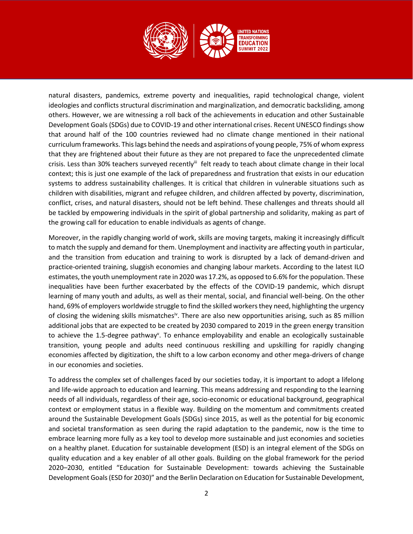

natural disasters, pandemics, extreme poverty and inequalities, rapid technological change, violent ideologies and conflicts structural discrimination and marginalization, and democratic backsliding, among others. However, we are witnessing a roll back of the achievements in education and other Sustainable Development Goals (SDGs) due to COVID-19 and other international crises. Recent UNESCO findings show that around half of the 100 countries reviewed had no climate change mentioned in their national curriculum frameworks. This lags behind the needs and aspirations of young people, 75% of whom express that they are frightened about their future as they are not prepared to face the unprecedented climate crisis. Less than 30% teachers surveyed recently<sup>iii</sup> felt ready to teach about climate change in their local context; this is just one example of the lack of preparedness and frustration that exists in our education systems to address sustainability challenges. It is critical that children in vulnerable situations such as children with disabilities, migrant and refugee children, and children affected by poverty, discrimination, conflict, crises, and natural disasters, should not be left behind. These challenges and threats should all be tackled by empowering individuals in the spirit of global partnership and solidarity, making as part of the growing call for education to enable individuals as agents of change.

Moreover, in the rapidly changing world of work, skills are moving targets, making it increasingly difficult to match the supply and demand for them. Unemployment and inactivity are affecting youth in particular, and the transition from education and training to work is disrupted by a lack of demand-driven and practice-oriented training, sluggish economies and changing labour markets. According to the latest ILO estimates, the youth unemployment rate in 2020 was 17.2%, as opposed to 6.6% for the population. These inequalities have been further exacerbated by the effects of the COVID-19 pandemic, which disrupt learning of many youth and adults, as well as their mental, social, and financial well-being. On the other hand, 69% of employers worldwide struggle to find the skilled workers they need, highlighting the urgency of closing the widening skills mismatches<sup>iv</sup>. There are also new opportunities arising, such as 85 million additional jobs that are expected to be created by 2030 compared to 2019 in the green energy transition to achieve the 1.5-degree pathway<sup>v</sup>. To enhance employability and enable an ecologically sustainable transition, young people and adults need continuous reskilling and upskilling for rapidly changing economies affected by digitization, the shift to a low carbon economy and other mega-drivers of change in our economies and societies.

To address the complex set of challenges faced by our societies today, it is important to adopt a lifelong and life-wide approach to education and learning. This means addressing and responding to the learning needs of all individuals, regardless of their age, socio-economic or educational background, geographical context or employment status in a flexible way. Building on the momentum and commitments created around the Sustainable Development Goals (SDGs) since 2015, as well as the potential for big economic and societal transformation as seen during the rapid adaptation to the pandemic, now is the time to embrace learning more fully as a key tool to develop more sustainable and just economies and societies on a healthy planet. Education for sustainable development (ESD) is an integral element of the SDGs on quality education and a key enabler of all other goals. Building on the global framework for the period 2020–2030, entitled "Education for Sustainable Development: towards achieving the Sustainable Development Goals (ESD for 2030)" and the Berlin Declaration on Education for Sustainable Development,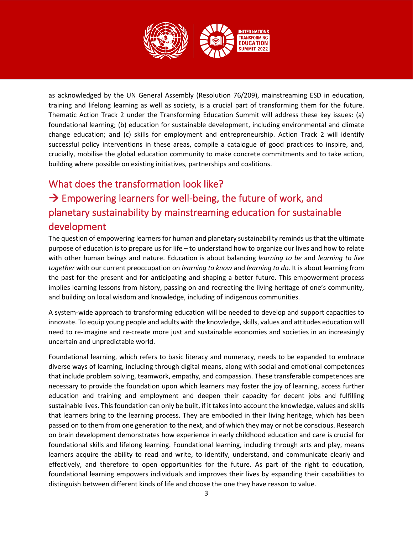

as acknowledged by the UN General Assembly (Resolution 76/209), mainstreaming ESD in education, training and lifelong learning as well as society, is a crucial part of transforming them for the future. Thematic Action Track 2 under the Transforming Education Summit will address these key issues: (a) foundational learning; (b) education for sustainable development, including environmental and climate change education; and (c) skills for employment and entrepreneurship. Action Track 2 will identify successful policy interventions in these areas, compile a catalogue of good practices to inspire, and, crucially, mobilise the global education community to make concrete commitments and to take action, building where possible on existing initiatives, partnerships and coalitions.

# What does the transformation look like?  $\rightarrow$  Empowering learners for well-being, the future of work, and planetary sustainability by mainstreaming education for sustainable development

The question of empowering learners for human and planetary sustainability reminds us that the ultimate purpose of education is to prepare us for life – to understand how to organize our lives and how to relate with other human beings and nature. Education is about balancing *learning to be* and *learning to live together* with our current preoccupation on *learning to know* and *learning to do*. It is about learning from the past for the present and for anticipating and shaping a better future. This empowerment process implies learning lessons from history, passing on and recreating the living heritage of one's community, and building on local wisdom and knowledge, including of indigenous communities.

A system-wide approach to transforming education will be needed to develop and support capacities to innovate. To equip young people and adults with the knowledge, skills, values and attitudes education will need to re-imagine and re-create more just and sustainable economies and societies in an increasingly uncertain and unpredictable world.

Foundational learning, which refers to basic literacy and numeracy, needs to be expanded to embrace diverse ways of learning, including through digital means, along with social and emotional competences that include problem solving, teamwork, empathy, and compassion. These transferable competences are necessary to provide the foundation upon which learners may foster the joy of learning, access further education and training and employment and deepen their capacity for decent jobs and fulfilling sustainable lives. This foundation can only be built, if it takes into account the knowledge, values and skills that learners bring to the learning process. They are embodied in their living heritage, which has been passed on to them from one generation to the next, and of which they may or not be conscious. Research on brain development demonstrates how experience in early childhood education and care is crucial for foundational skills and lifelong learning. Foundational learning, including through arts and play, means learners acquire the ability to read and write, to identify, understand, and communicate clearly and effectively, and therefore to open opportunities for the future. As part of the right to education, foundational learning empowers individuals and improves their lives by expanding their capabilities to distinguish between different kinds of life and choose the one they have reason to value.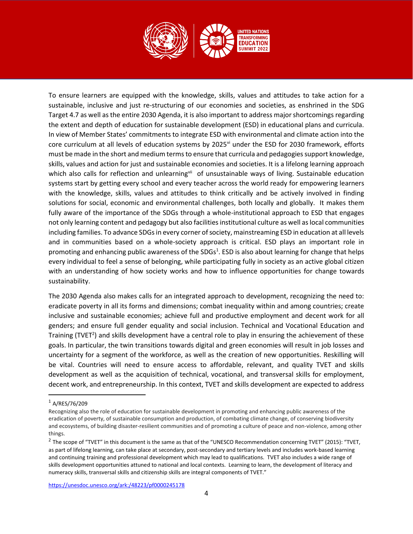

To ensure learners are equipped with the knowledge, skills, values and attitudes to take action for a sustainable, inclusive and just re-structuring of our economies and societies, as enshrined in the SDG Target 4.7 as well as the entire 2030 Agenda, it is also important to address major shortcomings regarding the extent and depth of education for sustainable development (ESD) in educational plans and curricula. In view of Member States' commitments to integrate ESD with environmental and climate action into the core curriculum at all levels of education systems by 2025<sup>vi</sup> under the ESD for 2030 framework, efforts must be made in the short and medium terms to ensure that curricula and pedagogies support knowledge, skills, values and action for just and sustainable economies and societies. It is a lifelong learning approach which also calls for reflection and unlearningvii of unsustainable ways of living. Sustainable education systems start by getting every school and every teacher across the world ready for empowering learners with the knowledge, skills, values and attitudes to think critically and be actively involved in finding solutions for social, economic and environmental challenges, both locally and globally. It makes them fully aware of the importance of the SDGs through a whole-institutional approach to ESD that engages not only learning content and pedagogy but also facilities institutional culture as well as local communities including families. To advance SDGs in every corner of society, mainstreaming ESD in education at all levels and in communities based on a whole-society approach is critical. ESD plays an important role in promoting and enhancing public awareness of the SDGs<sup>1</sup>. ESD is also about learning for change that helps every individual to feel a sense of belonging, while participating fully in society as an active global citizen with an understanding of how society works and how to influence opportunities for change towards sustainability.

The 2030 Agenda also makes calls for an integrated approach to development, recognizing the need to: eradicate poverty in all its forms and dimensions; combat inequality within and among countries; create inclusive and sustainable economies; achieve full and productive employment and decent work for all genders; and ensure full gender equality and social inclusion. Technical and Vocational Education and Training (TVET<sup>2</sup>) and skills development have a central role to play in ensuring the achievement of these goals. In particular, the twin transitions towards digital and green economies will result in job losses and uncertainty for a segment of the workforce, as well as the creation of new opportunities. Reskilling will be vital. Countries will need to ensure access to affordable, relevant, and quality TVET and skills development as well as the acquisition of technical, vocational, and transversal skills for employment, decent work, and entrepreneurship. In this context, TVET and skills development are expected to address

<https://unesdoc.unesco.org/ark:/48223/pf0000245178>

<sup>1</sup> A/RES/76/209

Recognizing also the role of education for sustainable development in promoting and enhancing public awareness of the eradication of poverty, of sustainable consumption and production, of combating climate change, of conserving biodiversity and ecosystems, of building disaster-resilient communities and of promoting a culture of peace and non-violence, among other things.

<sup>&</sup>lt;sup>2</sup> The scope of "TVET" in this document is the same as that of the "UNESCO Recommendation concerning TVET" (2015): "TVET, as part of lifelong learning, can take place at secondary, post-secondary and tertiary levels and includes work-based learning and continuing training and professional development which may lead to qualifications. TVET also includes a wide range of skills development opportunities attuned to national and local contexts. Learning to learn, the development of literacy and numeracy skills, transversal skills and citizenship skills are integral components of TVET."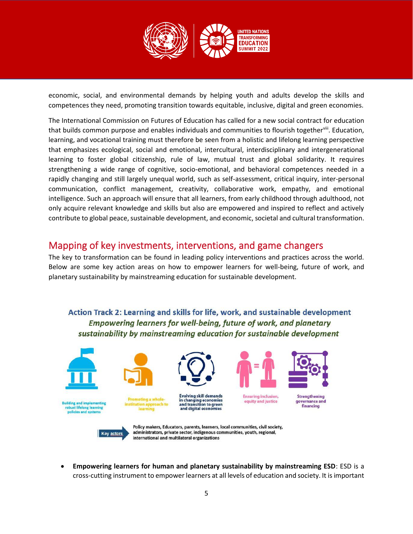

economic, social, and environmental demands by helping youth and adults develop the skills and competences they need, promoting transition towards equitable, inclusive, digital and green economies.

The International Commission on Futures of Education has called for a new social contract for education that builds common purpose and enables individuals and communities to flourish together<sup>viii</sup>. Education, learning, and vocational training must therefore be seen from a holistic and lifelong learning perspective that emphasizes ecological, social and emotional, intercultural, interdisciplinary and intergenerational learning to foster global citizenship, rule of law, mutual trust and global solidarity. It requires strengthening a wide range of cognitive, socio-emotional, and behavioral competences needed in a rapidly changing and still largely unequal world, such as self-assessment, critical inquiry, inter-personal communication, conflict management, creativity, collaborative work, empathy, and emotional intelligence. Such an approach will ensure that all learners, from early childhood through adulthood, not only acquire relevant knowledge and skills but also are empowered and inspired to reflect and actively contribute to global peace, sustainable development, and economic, societal and cultural transformation.

### Mapping of key investments, interventions, and game changers

The key to transformation can be found in leading policy interventions and practices across the world. Below are some key action areas on how to empower learners for well-being, future of work, and planetary sustainability by mainstreaming education for sustainable development.

Action Track 2: Learning and skills for life, work, and sustainable development **Empowering learners for well-being, future of work, and planetary** sustainability by mainstreaming education for sustainable development











Evolving skill demands in changing economies<br>and transition to green and digital econo



**Ensuring inclusion,** equity and justice



**Strengthening** governance and financing



Policy makers, Educators, parents, learners, local communities, civil society, administrators, private sector, indigenous communities, youth, regional, international and multilateral organizations

• **Empowering learners for human and planetary sustainability by mainstreaming ESD**: ESD is a cross-cutting instrument to empower learners at all levels of education and society. It is important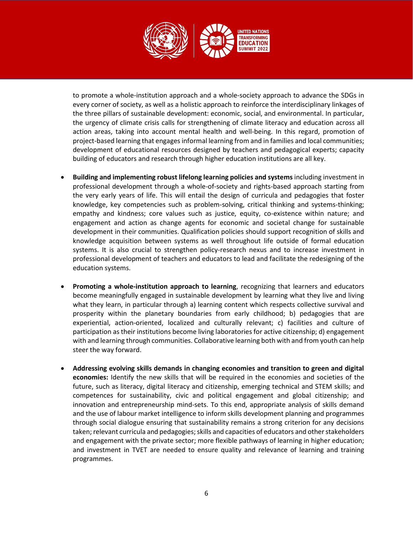

to promote a whole-institution approach and a whole-society approach to advance the SDGs in every corner of society, as well as a holistic approach to reinforce the interdisciplinary linkages of the three pillars of sustainable development: economic, social, and environmental. In particular, the urgency of climate crisis calls for strengthening of climate literacy and education across all action areas, taking into account mental health and well-being. In this regard, promotion of project-based learning that engages informal learning from and in families and local communities; development of educational resources designed by teachers and pedagogical experts; capacity building of educators and research through higher education institutions are all key.

- **Building and implementing robust lifelong learning policies and systems** including investment in professional development through a whole-of-society and rights-based approach starting from the very early years of life. This will entail the design of curricula and pedagogies that foster knowledge, key competencies such as problem-solving, critical thinking and systems-thinking; empathy and kindness; core values such as justice, equity, co-existence within nature; and engagement and action as change agents for economic and societal change for sustainable development in their communities. Qualification policies should support recognition of skills and knowledge acquisition between systems as well throughout life outside of formal education systems. It is also crucial to strengthen policy-research nexus and to increase investment in professional development of teachers and educators to lead and facilitate the redesigning of the education systems.
- **Promoting a whole-institution approach to learning**, recognizing that learners and educators become meaningfully engaged in sustainable development by learning what they live and living what they learn, in particular through a) learning content which respects collective survival and prosperity within the planetary boundaries from early childhood; b) pedagogies that are experiential, action-oriented, localized and culturally relevant; c) facilities and culture of participation as their institutions become living laboratories for active citizenship; d) engagement with and learning through communities. Collaborative learning both with and from youth can help steer the way forward.
- **Addressing evolving skills demands in changing economies and transition to green and digital economies:** Identify the new skills that will be required in the economies and societies of the future, such as literacy, digital literacy and citizenship, emerging technical and STEM skills; and competences for sustainability, civic and political engagement and global citizenship; and innovation and entrepreneurship mind-sets. To this end, appropriate analysis of skills demand and the use of labour market intelligence to inform skills development planning and programmes through social dialogue ensuring that sustainability remains a strong criterion for any decisions taken; relevant curricula and pedagogies; skills and capacities of educators and other stakeholders and engagement with the private sector; more flexible pathways of learning in higher education; and investment in TVET are needed to ensure quality and relevance of learning and training programmes.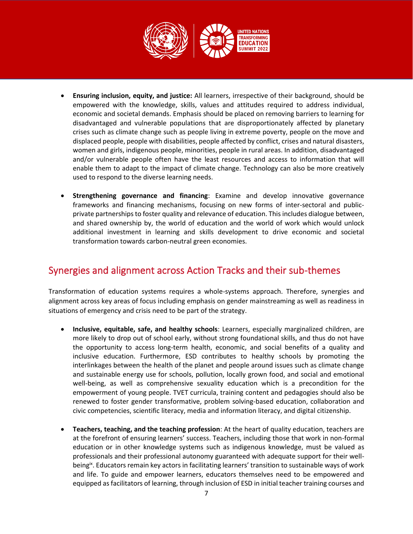

- **Ensuring inclusion, equity, and justice:** All learners, irrespective of their background, should be empowered with the knowledge, skills, values and attitudes required to address individual, economic and societal demands. Emphasis should be placed on removing barriers to learning for disadvantaged and vulnerable populations that are disproportionately affected by planetary crises such as climate change such as people living in extreme poverty, people on the move and displaced people, people with disabilities, people affected by conflict, crises and natural disasters, women and girls, indigenous people, minorities, people in rural areas. In addition, disadvantaged and/or vulnerable people often have the least resources and access to information that will enable them to adapt to the impact of climate change. Technology can also be more creatively used to respond to the diverse learning needs.
- **Strengthening governance and financing**: Examine and develop innovative governance frameworks and financing mechanisms, focusing on new forms of inter-sectoral and publicprivate partnerships to foster quality and relevance of education. This includes dialogue between, and shared ownership by, the world of education and the world of work which would unlock additional investment in learning and skills development to drive economic and societal transformation towards carbon-neutral green economies.

# Synergies and alignment across Action Tracks and their sub-themes

Transformation of education systems requires a whole-systems approach. Therefore, synergies and alignment across key areas of focus including emphasis on gender mainstreaming as well as readiness in situations of emergency and crisis need to be part of the strategy.

- **Inclusive, equitable, safe, and healthy schools**: Learners, especially marginalized children, are more likely to drop out of school early, without strong foundational skills, and thus do not have the opportunity to access long-term health, economic, and social benefits of a quality and inclusive education. Furthermore, ESD contributes to healthy schools by promoting the interlinkages between the health of the planet and people around issues such as climate change and sustainable energy use for schools, pollution, locally grown food, and social and emotional well-being, as well as comprehensive sexuality education which is a precondition for the empowerment of young people. TVET curricula, training content and pedagogies should also be renewed to foster gender transformative, problem solving-based education, collaboration and civic competencies, scientific literacy, media and information literacy, and digital citizenship.
- **Teachers, teaching, and the teaching profession**: At the heart of quality education, teachers are at the forefront of ensuring learners' success. Teachers, including those that work in non-formal education or in other knowledge systems such as indigenous knowledge, must be valued as professionals and their professional autonomy guaranteed with adequate support for their wellbeing<sup>ix</sup>. Educators remain key actors in facilitating learners' transition to sustainable ways of work and life. To guide and empower learners, educators themselves need to be empowered and equipped as facilitators of learning, through inclusion of ESD in initial teacher training courses and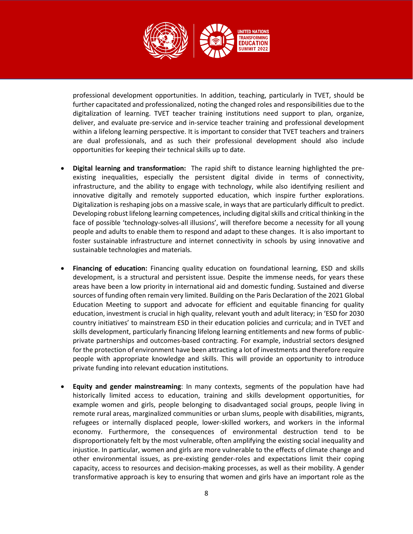

professional development opportunities. In addition, teaching, particularly in TVET, should be further capacitated and professionalized, noting the changed roles and responsibilities due to the digitalization of learning. TVET teacher training institutions need support to plan, organize, deliver, and evaluate pre-service and in-service teacher training and professional development within a lifelong learning perspective. It is important to consider that TVET teachers and trainers are dual professionals, and as such their professional development should also include opportunities for keeping their technical skills up to date.

- **Digital learning and transformation:** The rapid shift to distance learning highlighted the preexisting inequalities, especially the persistent digital divide in terms of connectivity, infrastructure, and the ability to engage with technology, while also identifying resilient and innovative digitally and remotely supported education, which inspire further explorations. Digitalization is reshaping jobs on a massive scale, in ways that are particularly difficult to predict. Developing robust lifelong learning competences, including digital skills and critical thinking in the face of possible 'technology-solves-all illusions', will therefore become a necessity for all young people and adults to enable them to respond and adapt to these changes. It is also important to foster sustainable infrastructure and internet connectivity in schools by using innovative and sustainable technologies and materials.
- **Financing of education:** Financing quality education on foundational learning, ESD and skills development, is a structural and persistent issue. Despite the immense needs, for years these areas have been a low priority in international aid and domestic funding. Sustained and diverse sources of funding often remain very limited. Building on the Paris Declaration of the 2021 Global Education Meeting to support and advocate for efficient and equitable financing for quality education, investment is crucial in high quality, relevant youth and adult literacy; in 'ESD for 2030 country initiatives' to mainstream ESD in their education policies and curricula; and in TVET and skills development, particularly financing lifelong learning entitlements and new forms of publicprivate partnerships and outcomes-based contracting. For example, industrial sectors designed for the protection of environment have been attracting a lot of investments and therefore require people with appropriate knowledge and skills. This will provide an opportunity to introduce private funding into relevant education institutions.
- **Equity and gender mainstreaming**: In many contexts, segments of the population have had historically limited access to education, training and skills development opportunities, for example women and girls, people belonging to disadvantaged social groups, people living in remote rural areas, marginalized communities or urban slums, people with disabilities, migrants, refugees or internally displaced people, lower-skilled workers, and workers in the informal economy. Furthermore, the consequences of environmental destruction tend to be disproportionately felt by the most vulnerable, often amplifying the existing social inequality and injustice. In particular, women and girls are more vulnerable to the effects of climate change and other environmental issues, as pre-existing gender-roles and expectations limit their coping capacity, access to resources and decision-making processes, as well as their mobility. A gender transformative approach is key to ensuring that women and girls have an important role as the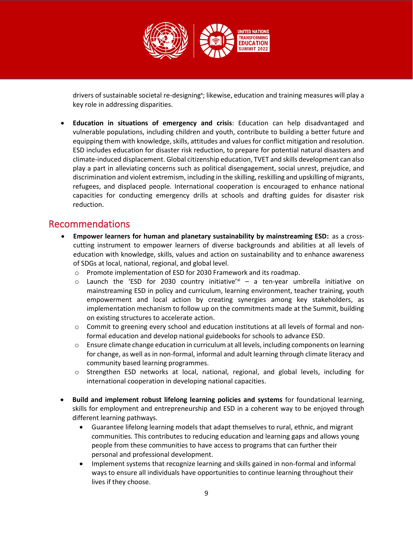

drivers of sustainable societal re-designing<sup>x</sup>; likewise, education and training measures will play a key role in addressing disparities.

• **Education in situations of emergency and crisis**: Education can help disadvantaged and vulnerable populations, including children and youth, contribute to building a better future and equipping them with knowledge, skills, attitudes and values for conflict mitigation and resolution. ESD includes education for disaster risk reduction, to prepare for potential natural disasters and climate-induced displacement. Global citizenship education, TVET and skills development can also play a part in alleviating concerns such as political disengagement, social unrest, prejudice, and discrimination and violent extremism, including in the skilling, reskilling and upskilling of migrants, refugees, and displaced people. International cooperation is encouraged to enhance national capacities for conducting emergency drills at schools and drafting guides for disaster risk reduction.

### Recommendations

- **Empower learners for human and planetary sustainability by mainstreaming ESD:** as a crosscutting instrument to empower learners of diverse backgrounds and abilities at all levels of education with knowledge, skills, values and action on sustainability and to enhance awareness of SDGs at local, national, regional, and global level.
	- o Promote implementation of ESD for 2030 Framework and its roadmap.
	- $\circ$  Launch the 'ESD for 2030 country initiative'<sup>xi</sup> a ten-year umbrella initiative on mainstreaming ESD in policy and curriculum, learning environment, teacher training, youth empowerment and local action by creating synergies among key stakeholders, as implementation mechanism to follow up on the commitments made at the Summit, building on existing structures to accelerate action.
	- $\circ$  Commit to greening every school and education institutions at all levels of formal and nonformal education and develop national guidebooks for schools to advance ESD.
	- o Ensure climate change education in curriculum at all levels, including components on learning for change, as well as in non-formal, informal and adult learning through climate literacy and community based learning programmes.
	- o Strengthen ESD networks at local, national, regional, and global levels, including for international cooperation in developing national capacities.
- **Build and implement robust lifelong learning policies and systems** for foundational learning, skills for employment and entrepreneurship and ESD in a coherent way to be enjoyed through different learning pathways.
	- Guarantee lifelong learning models that adapt themselves to rural, ethnic, and migrant communities. This contributes to reducing education and learning gaps and allows young people from these communities to have access to programs that can further their personal and professional development.
	- Implement systems that recognize learning and skills gained in non-formal and informal ways to ensure all individuals have opportunities to continue learning throughout their lives if they choose.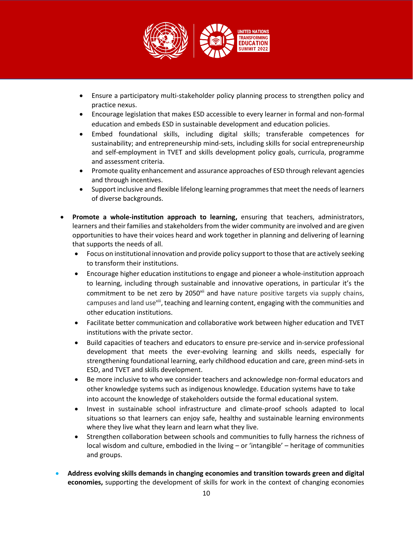

- Ensure a participatory multi-stakeholder policy planning process to strengthen policy and practice nexus.
- Encourage legislation that makes ESD accessible to every learner in formal and non-formal education and embeds ESD in sustainable development and education policies.
- Embed foundational skills, including digital skills; transferable competences for sustainability; and entrepreneurship mind-sets, including skills for social entrepreneurship and self-employment in TVET and skills development policy goals, curricula, programme and assessment criteria.
- Promote quality enhancement and assurance approaches of ESD through relevant agencies and through incentives.
- Support inclusive and flexible lifelong learning programmes that meet the needs of learners of diverse backgrounds.
- **Promote a whole-institution approach to learning,** ensuring that teachers, administrators, learners and their families and stakeholders from the wider community are involved and are given opportunities to have their voices heard and work together in planning and delivering of learning that supports the needs of all.
	- Focus on institutional innovation and provide policy support to those that are actively seeking to transform their institutions.
	- Encourage higher education institutions to engage and pioneer a whole-institution approach to learning, including through sustainable and innovative operations, in particular it's the commitment to be net zero by 2050<sup>xii</sup> and have nature positive targets via supply chains, campuses and land usexiii, teaching and learning content, engaging with the communities and other education institutions.
	- Facilitate better communication and collaborative work between higher education and TVET institutions with the private sector.
	- Build capacities of teachers and educators to ensure pre-service and in-service professional development that meets the ever-evolving learning and skills needs, especially for strengthening foundational learning, early childhood education and care, green mind-sets in ESD, and TVET and skills development.
	- Be more inclusive to who we consider teachers and acknowledge non-formal educators and other knowledge systems such as indigenous knowledge. Education systems have to take into account the knowledge of stakeholders outside the formal educational system.
	- Invest in sustainable school infrastructure and climate-proof schools adapted to local situations so that learners can enjoy safe, healthy and sustainable learning environments where they live what they learn and learn what they live.
	- Strengthen collaboration between schools and communities to fully harness the richness of local wisdom and culture, embodied in the living – or 'intangible' – heritage of communities and groups.
- **Address evolving skills demands in changing economies and transition towards green and digital economies,** supporting the development of skills for work in the context of changing economies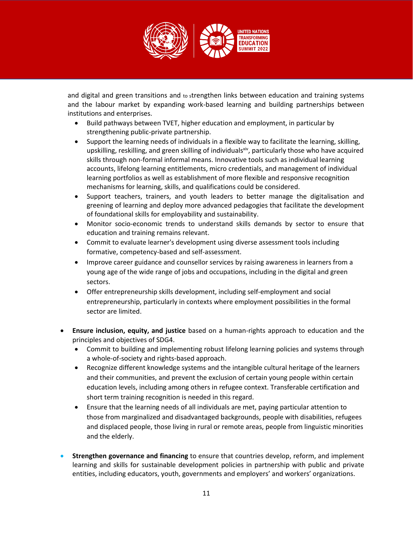

and digital and green transitions and to strengthen links between education and training systems and the labour market by expanding work-based learning and building partnerships between institutions and enterprises.

- Build pathways between TVET, higher education and employment, in particular by strengthening public-private partnership.
- Support the learning needs of individuals in a flexible way to facilitate the learning, skilling, upskilling, reskilling, and green skilling of individuals $x^i$ , particularly those who have acquired skills through non-formal informal means. Innovative tools such as individual learning accounts, lifelong learning entitlements, micro credentials, and management of individual learning portfolios as well as establishment of more flexible and responsive recognition mechanisms for learning, skills, and qualifications could be considered.
- Support teachers, trainers, and youth leaders to better manage the digitalisation and greening of learning and deploy more advanced pedagogies that facilitate the development of foundational skills for employability and sustainability.
- Monitor socio-economic trends to understand skills demands by sector to ensure that education and training remains relevant.
- Commit to evaluate learner's development using diverse assessment tools including formative, competency-based and self-assessment.
- Improve career guidance and counsellor services by raising awareness in learners from a young age of the wide range of jobs and occupations, including in the digital and green sectors.
- Offer entrepreneurship skills development, including self-employment and social entrepreneurship, particularly in contexts where employment possibilities in the formal sector are limited.
- **Ensure inclusion, equity, and justice** based on a human-rights approach to education and the principles and objectives of SDG4.
	- Commit to building and implementing robust lifelong learning policies and systems through a whole-of-society and rights-based approach.
	- Recognize different knowledge systems and the intangible cultural heritage of the learners and their communities, and prevent the exclusion of certain young people within certain education levels, including among others in refugee context. Transferable certification and short term training recognition is needed in this regard.
	- Ensure that the learning needs of all individuals are met, paying particular attention to those from marginalized and disadvantaged backgrounds, people with disabilities, refugees and displaced people, those living in rural or remote areas, people from linguistic minorities and the elderly.
- **Strengthen governance and financing** to ensure that countries develop, reform, and implement learning and skills for sustainable development policies in partnership with public and private entities, including educators, youth, governments and employers' and workers' organizations.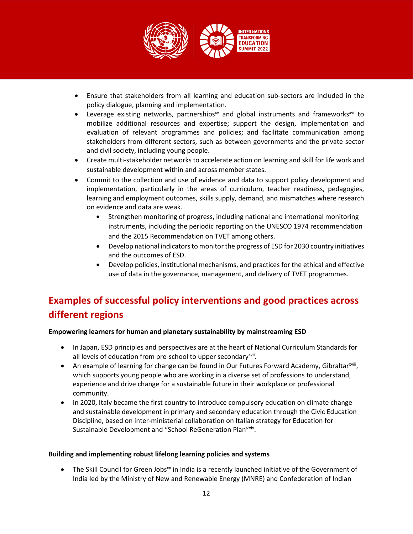

- Ensure that stakeholders from all learning and education sub-sectors are included in the policy dialogue, planning and implementation.
- Leverage existing networks, partnerships<sup>xv</sup> and global instruments and frameworks<sup>xvi</sup> to mobilize additional resources and expertise; support the design, implementation and evaluation of relevant programmes and policies; and facilitate communication among stakeholders from different sectors, such as between governments and the private sector and civil society, including young people.
- Create multi-stakeholder networks to accelerate action on learning and skill for life work and sustainable development within and across member states.
- Commit to the collection and use of evidence and data to support policy development and implementation, particularly in the areas of curriculum, teacher readiness, pedagogies, learning and employment outcomes, skills supply, demand, and mismatches where research on evidence and data are weak.
	- Strengthen monitoring of progress, including national and international monitoring instruments, including the periodic reporting on the UNESCO 1974 recommendation and the 2015 Recommendation on TVET among others.
	- Develop national indicators to monitor the progress of ESD for 2030 country initiatives and the outcomes of ESD.
	- Develop policies, institutional mechanisms, and practices for the ethical and effective use of data in the governance, management, and delivery of TVET programmes.

# **Examples of successful policy interventions and good practices across different regions**

### **Empowering learners for human and planetary sustainability by mainstreaming ESD**

- In Japan, ESD principles and perspectives are at the heart of National Curriculum Standards for all levels of education from pre-school to upper secondary<sup>xvii</sup>.
- An example of learning for change can be found in Our Futures Forward Academy, Gibraltar<sup>xviii</sup>, which supports young people who are working in a diverse set of professions to understand, experience and drive change for a sustainable future in their workplace or professional community.
- In 2020, Italy became the first country to introduce compulsory education on climate change and sustainable development in primary and secondary education through the Civic Education Discipline, based on inter-ministerial collaboration on Italian strategy for Education for Sustainable Development and "School ReGeneration Plan"<sup>xix</sup>.

### **Building and implementing robust lifelong learning policies and systems**

The Skill Council for Green Jobs<sup>xx</sup> in India is a recently launched initiative of the Government of India led by the Ministry of New and Renewable Energy (MNRE) and Confederation of Indian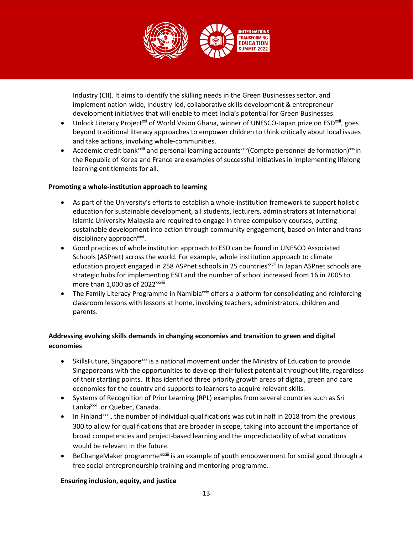

Industry (CII). It aims to identify the skilling needs in the Green Businesses sector, and implement nation-wide, industry-led, collaborative skills development & entrepreneur development initiatives that will enable to meet India's potential for Green Businesses.

- Unlock Literacy Project<sup>xxi</sup> of World Vision Ghana, winner of UNESCO-Japan prize on ESD<sup>xxii</sup>, goes beyond traditional literacy approaches to empower children to think critically about local issues and take actions, involving whole-communities.
- Academic credit bank<sup>xxiii</sup> and personal learning accounts<sup>xxiv</sup>(Compte personnel de formation)<sup>xxv</sup>in the Republic of Korea and France are examples of successful initiatives in implementing lifelong learning entitlements for all.

### **Promoting a whole-institution approach to learning**

- As part of the University's efforts to establish a whole-institution framework to support holistic education for sustainable development, all students, lecturers, administrators at International Islamic University Malaysia are required to engage in three compulsory courses, putting sustainable development into action through community engagement, based on inter and transdisciplinary approach<sup>xxvi</sup>.
- Good practices of whole institution approach to ESD can be found in UNESCO Associated Schools (ASPnet) across the world. For example, whole institution approach to climate education project engaged in 258 ASPnet schools in 25 countries<sup>xxvii</sup> In Japan ASPnet schools are strategic hubs for implementing ESD and the number of school increased from 16 in 2005 to more than  $1,000$  as of  $2022$ <sup>xxviii</sup>.
- The Family Literacy Programme in Namibia<sup>xxix</sup> offers a platform for consolidating and reinforcing classroom lessons with lessons at home, involving teachers, administrators, children and parents.

### **Addressing evolving skills demands in changing economies and transition to green and digital economies**

- SkillsFuture, Singapore<sup>xxx</sup> is a national movement under the Ministry of Education to provide Singaporeans with the opportunities to develop their fullest potential throughout life, regardless of their starting points. It has identified three priority growth areas of digital, green and care economies for the country and supports to learners to acquire relevant skills.
- Systems of Recognition of Prior Learning (RPL) examples from several countries such as Sri Lanka<sup>xxxi</sup> or Quebec, Canada.
- In Finland<sup>xxxii</sup>, the number of individual qualifications was cut in half in 2018 from the previous 300 to allow for qualifications that are broader in scope, taking into account the importance of broad competencies and project-based learning and the unpredictability of what vocations would be relevant in the future.
- BeChangeMaker programme<sup>xxxiii</sup> is an example of youth empowerment for social good through a free social entrepreneurship training and mentoring programme.

### **Ensuring inclusion, equity, and justice**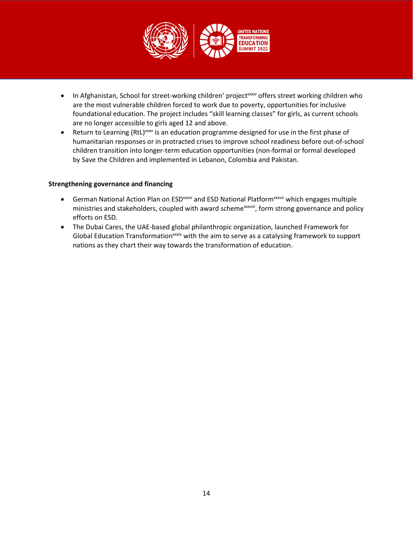

- In Afghanistan, School for street-working children' project<sup>xxxiv</sup> offers street working children who are the most vulnerable children forced to work due to poverty, opportunities for inclusive foundational education. The project includes "skill learning classes" for girls, as current schools are no longer accessible to girls aged 12 and above.
- Return to Learning (RtL)<sup>xxxv</sup> is an education programme designed for use in the first phase of humanitarian responses or in protracted crises to improve school readiness before out-of-school children transition into longer-term education opportunities (non-formal or formal developed by Save the Children and implemented in Lebanon, Colombia and Pakistan.

#### **Strengthening governance and financing**

- German National Action Plan on ESD<sup>xxxvi</sup> and ESD National Platform<sup>xxxvii</sup> which engages multiple ministries and stakeholders, coupled with award scheme<sup>xxxviii</sup>, form strong governance and policy efforts on ESD.
- The Dubai Cares, the UAE-based global philanthropic organization, launched Framework for Global Education Transformationxxxix with the aim to serve as a catalysing framework to support nations as they chart their way towards the transformation of education.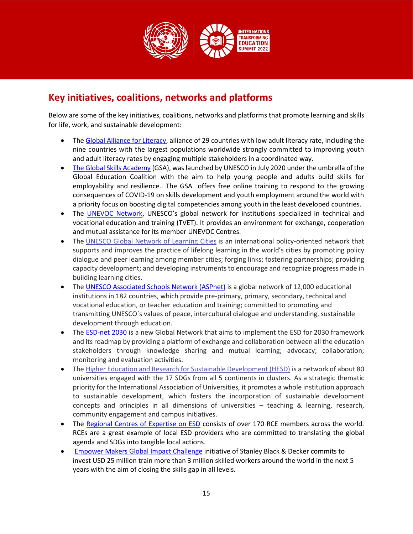

## **Key initiatives, coalitions, networks and platforms**

Below are some of the key initiatives, coalitions, networks and platforms that promote learning and skills for life, work, and sustainable development:

- The [Global Alliance for Literacy,](https://uil.unesco.org/literacy/global-alliance#:~:text=What%20is%20GAL%3F-,The%20Global%20Alliance%20for%20Literacy%20within%20the%20Framework%20of%20Lifelong,youth%20and%20adults%20who%20lack) alliance of 29 countries with low adult literacy rate, including the nine countries with the largest populations worldwide strongly committed to improving youth and adult literacy rates by engaging multiple stakeholders in a coordinated way.
- [The Global Skills Academy](https://globaleducationcoalition.unesco.org/global-skills-academy) (GSA), was launched by UNESCO in July 2020 under the umbrella of the Global Education Coalition with the aim to help young people and adults build skills for employability and resilience.. The GSA offers free online training to respond to the growing consequences of COVID-19 on skills development and youth employment around the world with a priority focus on boosting digital competencies among youth in the least developed countries.
- The [UNEVOC Network,](https://unevoc.unesco.org/home/About+the+UNEVOC+Network) UNESCO's global network for institutions specialized in technical and vocational education and training (TVET). It provides an environment for exchange, cooperation and mutual assistance for its member UNEVOC Centres.
- The [UNESCO Global Network of Learning Cities](https://uil.unesco.org/lifelong-learning/learning-cities) is an international policy-oriented network that supports and improves the practice of lifelong learning in the world's cities by promoting policy dialogue and peer learning among member cities; forging links; fostering partnerships; providing capacity development; and developing instruments to encourage and recognize progress made in building learning cities.
- The [UNESCO Associated Schools Network \(ASPnet\)](https://www.unesco.org/en/education/aspnet) is a global network of 12,000 educational institutions in 182 countries, which provide pre-primary, primary, secondary, technical and vocational education, or teacher education and training; committed to promoting and transmitting UNESCO´s values of peace, intercultural dialogue and understanding, sustainable development through education.
- The [ESD-net 2030](https://www.unesco.org/en/education/sustainable-development) is a new Global Network that aims to implement the ESD for 2030 framework and its roadmap by providing a platform of exchange and collaboration between all the education stakeholders through knowledge sharing and mutual learning; advocacy; collaboration; monitoring and evaluation activities.
- The [Higher Education and Research for Sustainable Development \(HESD\)](https://www.iau-aiu.net/HESD) is a network of about 80 universities engaged with the 17 SDGs from all 5 continents in clusters. As a strategic thematic priority for the International Association of Universities, it promotes a whole institution approach to sustainable development, which fosters the incorporation of sustainable development concepts and principles in all dimensions of universities – teaching & learning, research, community engagement and campus initiatives.
- The [Regional Centres of Expertise on ESD](https://www.rcenetwork.org/portal/) consists of over 170 RCE members across the world. RCEs are a great example of local ESD providers who are committed to translating the global agenda and SDGs into tangible local actions.
- [Empower Makers Global Impact Challenge](https://www.stanleyblackanddecker.com/social-responsibility/people/impact-challenge) initiative of Stanley Black & Decker commits to invest USD 25 million train more than 3 million skilled workers around the world in the next 5 years with the aim of closing the skills gap in all levels.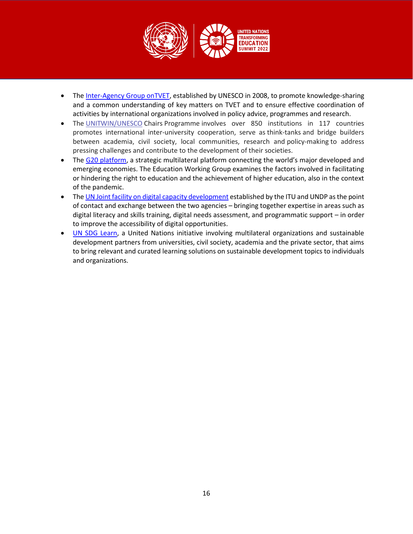

- The [Inter-Agency Group onTVET,](https://en.unesco.org/themes/skills-work-and-life/interagency-cooperation) established by UNESCO in 2008, to promote knowledge-sharing and a common understanding of key matters on TVET and to ensure effective coordination of activities by international organizations involved in policy advice, programmes and research.
- The [UNITWIN/UNESCO](https://www.unesco.org/en/education/unitwin) Chairs Programme involves over 850 institutions in 117 countries promotes international inter-university cooperation, serve as think-tanks and bridge builders between academia, civil society, local communities, research and policy-making to address pressing challenges and contribute to the development of their societies.
- The [G20 platform,](https://g20.org/about-the-g20/) a strategic multilateral platform connecting the world's major developed and emerging economies. The Education Working Group examines the factors involved in facilitating or hindering the right to education and the achievement of higher education, also in the context of the pandemic.
- The UN Joint facility on digital [capacity development](https://digital-capacity.org/joint-facility/) established by the ITU and UNDP as the point of contact and exchange between the two agencies – bringing together expertise in areas such as digital literacy and skills training, digital needs assessment, and programmatic support – in order to improve the accessibility of digital opportunities.
- [UN SDG Learn,](https://www.unsdglearn.org/) a United Nations initiative involving multilateral organizations and sustainable development partners from universities, civil society, academia and the private sector, that aims to bring relevant and curated learning solutions on sustainable development topics to individuals and organizations.